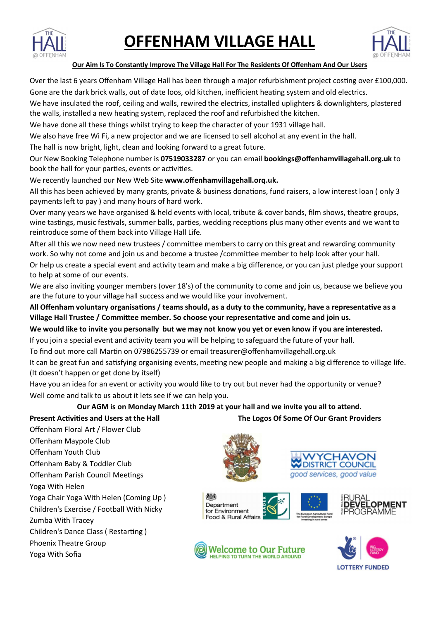

# **OFFENHAM VILLAGE HALL**



#### **Our Aim Is To Constantly Improve The Village Hall For The Residents Of Offenham And Our Users**

Over the last 6 years Offenham Village Hall has been through a major refurbishment project costing over £100,000.

Gone are the dark brick walls, out of date loos, old kitchen, inefficient heating system and old electrics.

We have insulated the roof, ceiling and walls, rewired the electrics, installed uplighters & downlighters, plastered the walls, installed a new heating system, replaced the roof and refurbished the kitchen.

We have done all these things whilst trying to keep the character of your 1931 village hall.

We also have free Wi Fi, a new projector and we are licensed to sell alcohol at any event in the hall.

The hall is now bright, light, clean and looking forward to a great future.

Our New Booking Telephone number is **07519033287** or you can email **bookings@offenhamvillagehall.org.uk** to book the hall for your parties, events or activities.

We recently launched our New Web Site **www.offenhamvillagehall.orq.uk.**

All this has been achieved by many grants, private & business donations, fund raisers, a low interest loan (only 3 payments left to pay ) and many hours of hard work.

Over many years we have organised & held events with local, tribute & cover bands, film shows, theatre groups, wine tastings, music festivals, summer balls, parties, wedding receptions plus many other events and we want to reintroduce some of them back into Village Hall Life.

After all this we now need new trustees / committee members to carry on this great and rewarding community work. So why not come and join us and become a trustee /committee member to help look after your hall.

Or help us create a special event and activity team and make a big difference, or you can just pledge your support to help at some of our events.

We are also inviting younger members (over 18's) of the community to come and join us, because we believe you are the future to your village hall success and we would like your involvement.

All Offenham voluntary organisations / teams should, as a duty to the community, have a representative as a Village Hall Trustee / Committee member. So choose your representative and come and join us.

**We would like to invite you personally but we may not know you yet or even know if you are interested.** 

If you join a special event and activity team you will be helping to safeguard the future of your hall.

To find out more call Martin on 07986255739 or email treasurer@offenhamvillagehall.org.uk

Offenham Floral Art / Flower Club

Offenham Baby & Toddler Club Offenham Parish Council Meetings

Yoga Chair Yoga With Helen (Coming Up ) Children's Exercise / Football With Nicky

Children's Dance Class (Restarting)

Offenham Maypole Club Offenham Youth Club

Yoga With Helen

Zumba With Tracey

Yoga With Sofia

Phoenix Theatre Group

It can be great fun and satisfying organising events, meeting new people and making a big difference to village life. (It doesn't happen or get done by itself)

Have you an idea for an event or activity you would like to try out but never had the opportunity or venue? Well come and talk to us about it lets see if we can help you.

# Our AGM is on Monday March 11th 2019 at your hall and we invite you all to attend. **Present Activities and Users at the Hall <b>The Logos Of Some Of Our Grant Providers**







**Welcome to Our Future HELPING TO TURN THE WORLD AROUND** 



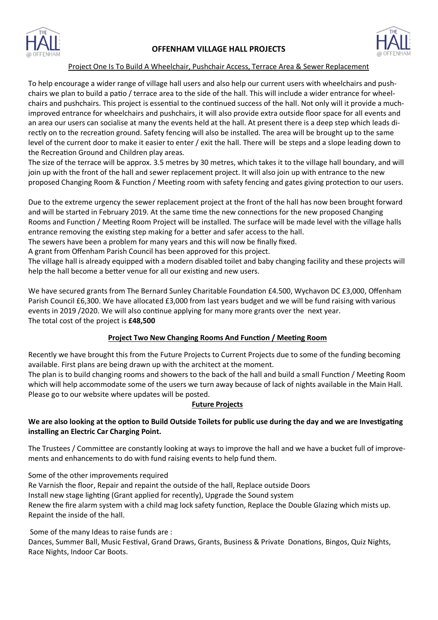

# **OFFENHAM VILLAGE HALL PROJECTS**



#### Project One Is To Build A Wheelchair, Pushchair Access, Terrace Area & Sewer Replacement

To help encourage a wider range of village hall users and also help our current users with wheelchairs and pushchairs we plan to build a patio / terrace area to the side of the hall. This will include a wider entrance for wheelchairs and pushchairs. This project is essential to the continued success of the hall. Not only will it provide a muchimproved entrance for wheelchairs and pushchairs, it will also provide extra outside floor space for all events and an area our users can socialise at many the events held at the hall. At present there is a deep step which leads directly on to the recreation ground. Safety fencing will also be installed. The area will be brought up to the same level of the current door to make it easier to enter / exit the hall. There will be steps and a slope leading down to the Recreation Ground and Children play areas.

The size of the terrace will be approx. 3.5 metres by 30 metres, which takes it to the village hall boundary, and will join up with the front of the hall and sewer replacement project. It will also join up with entrance to the new proposed Changing Room & Function / Meeting room with safety fencing and gates giving protection to our users.

Due to the extreme urgency the sewer replacement project at the front of the hall has now been brought forward and will be started in February 2019. At the same time the new connections for the new proposed Changing Rooms and Function / Meeting Room Project will be installed. The surface will be made level with the village halls entrance removing the existing step making for a better and safer access to the hall.

The sewers have been a problem for many years and this will now be finally fixed.

A grant from Offenham Parish Council has been approved for this project.

The village hall is already equipped with a modern disabled toilet and baby changing facility and these projects will help the hall become a better venue for all our existing and new users.

We have secured grants from The Bernard Sunley Charitable Foundation £4.500, Wychavon DC £3,000, Offenham Parish Council £6,300. We have allocated £3,000 from last years budget and we will be fund raising with various events in 2019 / 2020. We will also continue applying for many more grants over the next year. The total cost of the project is **£48,500**

## **Project Two New Changing Rooms And Function / Meeting Room**

Recently we have brought this from the Future Projects to Current Projects due to some of the funding becoming available. First plans are being drawn up with the architect at the moment.

The plan is to build changing rooms and showers to the back of the hall and build a small Function / Meeting Room which will help accommodate some of the users we turn away because of lack of nights available in the Main Hall. Please go to our website where updates will be posted.

## **Future Projects**

# We are also looking at the option to Build Outside Toilets for public use during the day and we are Investigating **installing an Electric Car Charging Point.**

The Trustees / Committee are constantly looking at ways to improve the hall and we have a bucket full of improvements and enhancements to do with fund raising events to help fund them.

Some of the other improvements required

Re Varnish the floor, Repair and repaint the outside of the hall, Replace outside Doors Install new stage lighting (Grant applied for recently), Upgrade the Sound system Renew the fire alarm system with a child mag lock safety function, Replace the Double Glazing which mists up. Repaint the inside of the hall.

Some of the many Ideas to raise funds are :

Dances, Summer Ball, Music Festival, Grand Draws, Grants, Business & Private Donations, Bingos, Quiz Nights, Race Nights, Indoor Car Boots.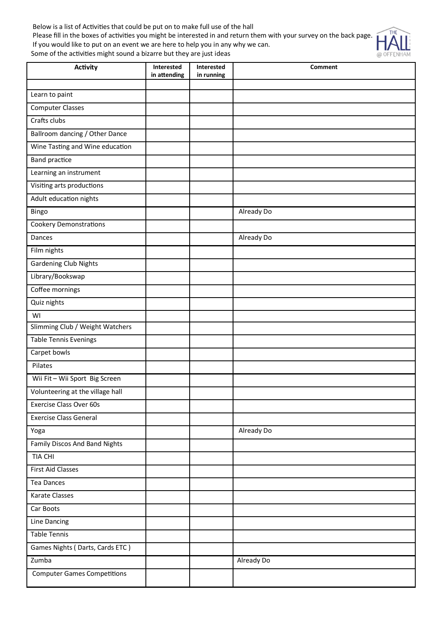Below is a list of Activities that could be put on to make full use of the hall Please fill in the boxes of activities you might be interested in and return them with your survey on the back page. If you would like to put on an event we are here to help you in any why we can. Some of the activities might sound a bizarre but they are just ideas



| Activity                           | Interested<br>in attending | Interested<br>in running | <b>Comment</b> |
|------------------------------------|----------------------------|--------------------------|----------------|
|                                    |                            |                          |                |
| Learn to paint                     |                            |                          |                |
| <b>Computer Classes</b>            |                            |                          |                |
| Crafts clubs                       |                            |                          |                |
| Ballroom dancing / Other Dance     |                            |                          |                |
| Wine Tasting and Wine education    |                            |                          |                |
| <b>Band practice</b>               |                            |                          |                |
| Learning an instrument             |                            |                          |                |
| Visiting arts productions          |                            |                          |                |
| Adult education nights             |                            |                          |                |
| Bingo                              |                            |                          | Already Do     |
| <b>Cookery Demonstrations</b>      |                            |                          |                |
| Dances                             |                            |                          | Already Do     |
| Film nights                        |                            |                          |                |
| <b>Gardening Club Nights</b>       |                            |                          |                |
| Library/Bookswap                   |                            |                          |                |
| Coffee mornings                    |                            |                          |                |
| Quiz nights                        |                            |                          |                |
| WI                                 |                            |                          |                |
| Slimming Club / Weight Watchers    |                            |                          |                |
| Table Tennis Evenings              |                            |                          |                |
| Carpet bowls                       |                            |                          |                |
| Pilates                            |                            |                          |                |
| Wii Fit - Wii Sport Big Screen     |                            |                          |                |
| Volunteering at the village hall   |                            |                          |                |
| <b>Exercise Class Over 60s</b>     |                            |                          |                |
| <b>Exercise Class General</b>      |                            |                          |                |
| Yoga                               |                            |                          | Already Do     |
| Family Discos And Band Nights      |                            |                          |                |
| TIA CHI                            |                            |                          |                |
| First Aid Classes                  |                            |                          |                |
| Tea Dances                         |                            |                          |                |
| Karate Classes                     |                            |                          |                |
| Car Boots                          |                            |                          |                |
| Line Dancing                       |                            |                          |                |
| <b>Table Tennis</b>                |                            |                          |                |
| Games Nights (Darts, Cards ETC)    |                            |                          |                |
| Zumba                              |                            |                          | Already Do     |
| <b>Computer Games Competitions</b> |                            |                          |                |